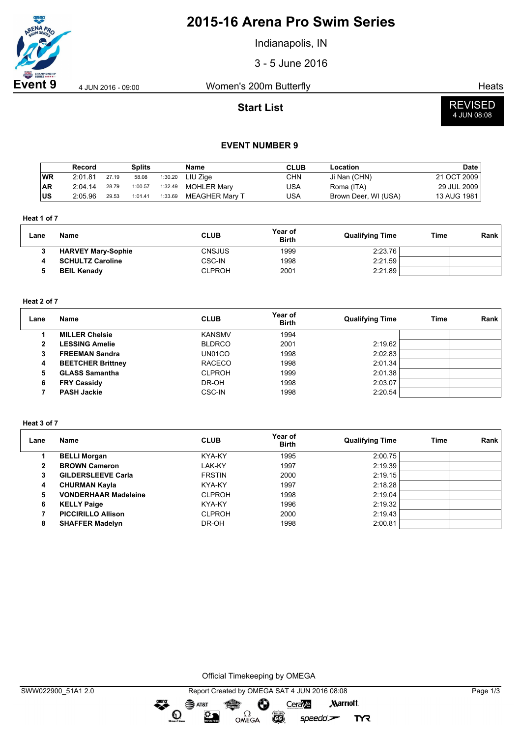

## **2015-16 Arena Pro Swim Series**

Indianapolis, IN

3 - 5 June 2016

**Event 9** 4 Jun 2016 - 09:00 Women's 200m Butterfly And Alleas Heats

**Start List**



### **EVENT NUMBER 9**

|            | Record  |       | <b>Splits</b> |         | <b>Name</b>        | <b>CLUB</b> | Location             | <b>Date</b> |
|------------|---------|-------|---------------|---------|--------------------|-------------|----------------------|-------------|
| <b>WR</b>  | 2:01.81 | 27.19 | 58.08         | 1:30.20 | LIU Ziae           | CHN         | Ji Nan (CHN)         | 21 OCT 2009 |
| <b>AR</b>  | 2:04.14 | 28.79 | 1:00.57       | 1:32.49 | <b>MOHLER Mary</b> | USA         | Roma (ITA)           | 29 JUL 2009 |
| <b>IUS</b> | 2:05.96 | 29.53 | 1:01.41       | 1:33.69 | MEAGHER Marv T     | USA         | Brown Deer, WI (USA) | 13 AUG 1981 |

**Heat 1 of 7**

| Lane | Name                      | <b>CLUB</b>   | Year of<br><b>Birth</b> | <b>Qualifying Time</b> | Time | Rank |
|------|---------------------------|---------------|-------------------------|------------------------|------|------|
|      | <b>HARVEY Mary-Sophie</b> | <b>CNSJUS</b> | 1999                    | 2:23.76                |      |      |
| 4    | <b>SCHULTZ Caroline</b>   | CSC-IN        | 1998                    | 2:21.59                |      |      |
|      | <b>BEIL Kenady</b>        | <b>CLPROH</b> | 2001                    | 2:21.89                |      |      |

#### **Heat 2 of 7**

| Lane | Name                     | <b>CLUB</b>   | Year of<br><b>Birth</b> | <b>Qualifying Time</b> | Time | Rank |
|------|--------------------------|---------------|-------------------------|------------------------|------|------|
|      | <b>MILLER Chelsie</b>    | <b>KANSMV</b> | 1994                    |                        |      |      |
| 2    | <b>LESSING Amelie</b>    | <b>BLDRCO</b> | 2001                    | 2:19.62                |      |      |
|      | <b>FREEMAN Sandra</b>    | UN01CO        | 1998                    | 2:02.83                |      |      |
| 4    | <b>BEETCHER Brittney</b> | <b>RACECO</b> | 1998                    | 2:01.34                |      |      |
| 5    | <b>GLASS Samantha</b>    | <b>CLPROH</b> | 1999                    | 2:01.38                |      |      |
| 6    | <b>FRY Cassidy</b>       | DR-OH         | 1998                    | 2:03.07                |      |      |
|      | <b>PASH Jackie</b>       | <b>CSC-IN</b> | 1998                    | 2:20.54                |      |      |

### **Heat 3 of 7**

| Lane | <b>Name</b>                 | <b>CLUB</b>   | Year of<br><b>Birth</b> | <b>Qualifying Time</b> | Time | Rank |
|------|-----------------------------|---------------|-------------------------|------------------------|------|------|
|      | <b>BELLI Morgan</b>         | KYA-KY        | 1995                    | 2:00.75                |      |      |
| 2    | <b>BROWN Cameron</b>        | LAK-KY        | 1997                    | 2:19.39                |      |      |
| 3    | <b>GILDERSLEEVE Carla</b>   | <b>FRSTIN</b> | 2000                    | 2:19.15                |      |      |
| 4    | <b>CHURMAN Kayla</b>        | KYA-KY        | 1997                    | 2:18.28                |      |      |
| 5    | <b>VONDERHAAR Madeleine</b> | <b>CLPROH</b> | 1998                    | 2:19.04                |      |      |
| 6    | <b>KELLY Paige</b>          | KYA-KY        | 1996                    | 2:19.32                |      |      |
|      | <b>PICCIRILLO Allison</b>   | <b>CLPROH</b> | 2000                    | 2:19.43                |      |      |
| 8    | <b>SHAFFER Madelyn</b>      | DR-OH         | 1998                    | 2:00.81                |      |      |

Official Timekeeping by OMEGA

OMEGA

 $\bullet$ 

 $\odot$ 

 $\sum_{n=1}^{\infty}$ 

SWW022900\_51A1 2.0 Report Created by OMEGA SAT 4 JUN 2016 08:08 Page 1/3  $\mathbf{S}$  AT&T CeraVe **Marriott** Ô

**FHILLIPS** 

 $speedo$ 

**TYR**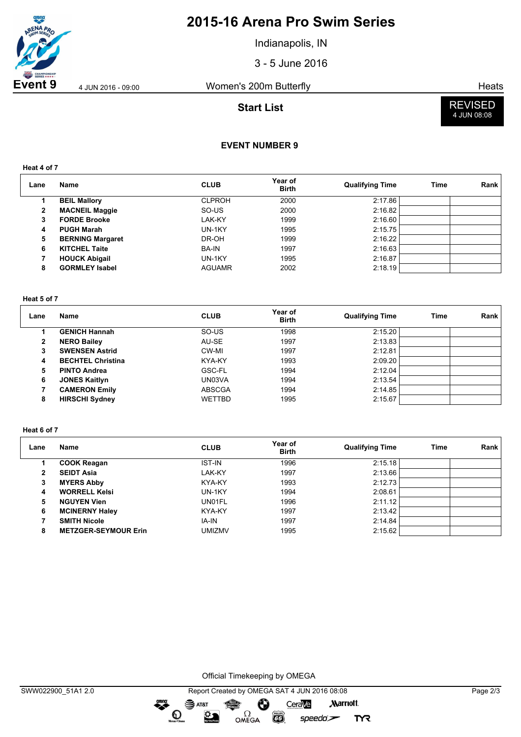

## **2015-16 Arena Pro Swim Series**

Indianapolis, IN

3 - 5 June 2016

**Event 9** 4 JUN 2016 - 09:00 Women's 200m Butterfly And Alleans Heats

**Start List**



## **EVENT NUMBER 9**

**Heat 4 of 7**

| Lane | Name                    | <b>CLUB</b>   | Year of<br><b>Birth</b> | <b>Qualifying Time</b> | Time | Rank |
|------|-------------------------|---------------|-------------------------|------------------------|------|------|
|      | <b>BEIL Mallory</b>     | <b>CLPROH</b> | 2000                    | 2:17.86                |      |      |
| 2    | <b>MACNEIL Maggie</b>   | SO-US         | 2000                    | 2:16.82                |      |      |
| 3    | <b>FORDE Brooke</b>     | LAK-KY        | 1999                    | 2:16.60                |      |      |
| 4    | <b>PUGH Marah</b>       | UN-1KY        | 1995                    | 2:15.75                |      |      |
| 5    | <b>BERNING Margaret</b> | DR-OH         | 1999                    | 2:16.22                |      |      |
| 6    | <b>KITCHEL Taite</b>    | BA-IN         | 1997                    | 2:16.63                |      |      |
|      | <b>HOUCK Abigail</b>    | UN-1KY        | 1995                    | 2:16.87                |      |      |
| 8    | <b>GORMLEY Isabel</b>   | <b>AGUAMR</b> | 2002                    | 2:18.19                |      |      |

#### **Heat 5 of 7**

| Lane           | Name                     | <b>CLUB</b>   | Year of<br><b>Birth</b> | <b>Qualifying Time</b> | Time | <b>Rank</b> |
|----------------|--------------------------|---------------|-------------------------|------------------------|------|-------------|
|                | <b>GENICH Hannah</b>     | SO-US         | 1998                    | 2:15.20                |      |             |
| $\overline{2}$ | <b>NERO Bailey</b>       | AU-SE         | 1997                    | 2:13.83                |      |             |
| 3              | <b>SWENSEN Astrid</b>    | CW-MI         | 1997                    | 2:12.81                |      |             |
| 4              | <b>BECHTEL Christina</b> | KYA-KY        | 1993                    | 2:09.20                |      |             |
| 5              | <b>PINTO Andrea</b>      | GSC-FL        | 1994                    | 2:12.04                |      |             |
| 6              | <b>JONES Kaitlyn</b>     | UN03VA        | 1994                    | 2:13.54                |      |             |
|                | <b>CAMERON Emily</b>     | <b>ABSCGA</b> | 1994                    | 2:14.85                |      |             |
| 8              | <b>HIRSCHI Sydney</b>    | <b>WETTBD</b> | 1995                    | 2:15.67                |      |             |

#### **Heat 6 of 7**

| Lane | Name                        | <b>CLUB</b>   | Year of<br><b>Birth</b> | <b>Qualifying Time</b> | Time | Rank |
|------|-----------------------------|---------------|-------------------------|------------------------|------|------|
|      | <b>COOK Reagan</b>          | <b>IST-IN</b> | 1996                    | 2:15.18                |      |      |
| 2    | <b>SEIDT Asia</b>           | LAK-KY        | 1997                    | 2:13.66                |      |      |
| 3    | <b>MYERS Abby</b>           | KYA-KY        | 1993                    | 2:12.73                |      |      |
| 4    | <b>WORRELL Kelsi</b>        | UN-1KY        | 1994                    | 2:08.61                |      |      |
| 5    | <b>NGUYEN Vien</b>          | UN01FL        | 1996                    | 2:11.12                |      |      |
| 6    | <b>MCINERNY Haley</b>       | KYA-KY        | 1997                    | 2:13.42                |      |      |
|      | <b>SMITH Nicole</b>         | IA-IN         | 1997                    | 2:14.84                |      |      |
| 8    | <b>METZGER-SEYMOUR Erin</b> | <b>UMIZMV</b> | 1995                    | 2:15.62                |      |      |

Official Timekeeping by OMEGA

 $\overbrace{\phantom{a}}^{\text{mean}}$ 

SWW022900\_51A1 2.0 Report Created by OMEGA SAT 4 JUN 2016 08:08 Page 2/3  $\mathbf{S}$  AT&T CeraVe **Marriott** Ô OMEGA  $\mathbf O$  $\sum_{n=1}^{\infty}$  $\overline{G}$  $speedo$ **TYR**